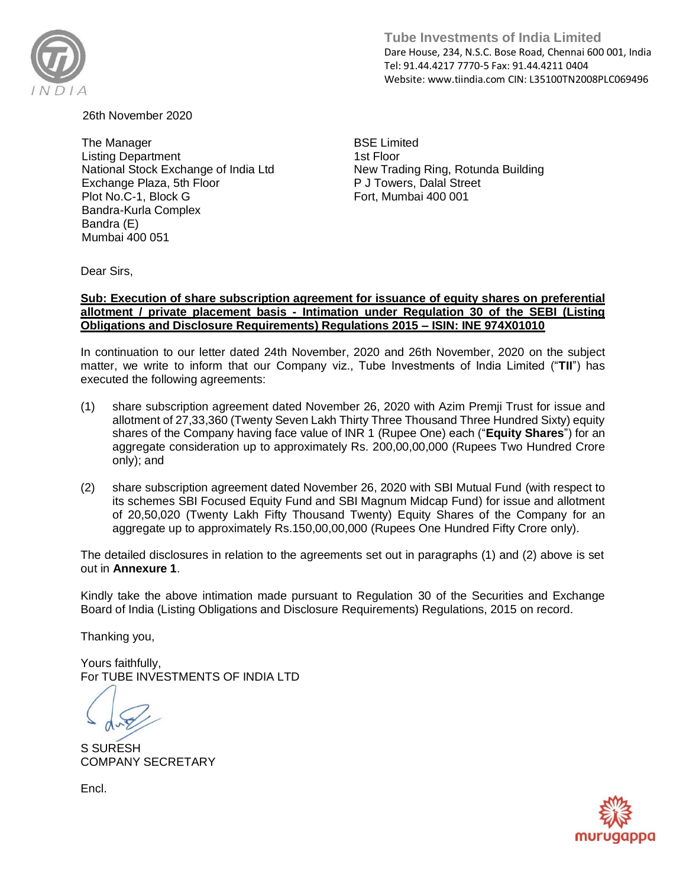

**Tube Investments of India Limited**  Dare House, 234, N.S.C. Bose Road, Chennai 600 001, India Tel: 91.44.4217 7770-5 Fax: 91.44.4211 0404 Website: www.tiindia.com CIN: L35100TN2008PLC069496

26th November 2020

The Manager Listing Department National Stock Exchange of India Ltd Exchange Plaza, 5th Floor Plot No.C-1, Block G Bandra-Kurla Complex Bandra (E) Mumbai 400 051

BSE Limited 1st Floor New Trading Ring, Rotunda Building P J Towers, Dalal Street Fort, Mumbai 400 001

Dear Sirs,

## **Sub: Execution of share subscription agreement for issuance of equity shares on preferential allotment / private placement basis - Intimation under Regulation 30 of the SEBI (Listing Obligations and Disclosure Requirements) Regulations 2015 – ISIN: INE 974X01010**

In continuation to our letter dated 24th November, 2020 and 26th November, 2020 on the subject matter, we write to inform that our Company viz., Tube Investments of India Limited ("**TII**") has executed the following agreements:

- (1) share subscription agreement dated November 26, 2020 with Azim Premji Trust for issue and allotment of 27,33,360 (Twenty Seven Lakh Thirty Three Thousand Three Hundred Sixty) equity shares of the Company having face value of INR 1 (Rupee One) each ("**Equity Shares**") for an aggregate consideration up to approximately Rs. 200,00,00,000 (Rupees Two Hundred Crore only); and
- (2) share subscription agreement dated November 26, 2020 with SBI Mutual Fund (with respect to its schemes SBI Focused Equity Fund and SBI Magnum Midcap Fund) for issue and allotment of 20,50,020 (Twenty Lakh Fifty Thousand Twenty) Equity Shares of the Company for an aggregate up to approximately Rs.150,00,00,000 (Rupees One Hundred Fifty Crore only).

The detailed disclosures in relation to the agreements set out in paragraphs (1) and (2) above is set out in **Annexure 1**.

Kindly take the above intimation made pursuant to Regulation 30 of the Securities and Exchange Board of India (Listing Obligations and Disclosure Requirements) Regulations, 2015 on record.

Thanking you,

Yours faithfully, For TUBE INVESTMENTS OF INDIA LTD

S SURESH COMPANY SECRETARY

Encl.

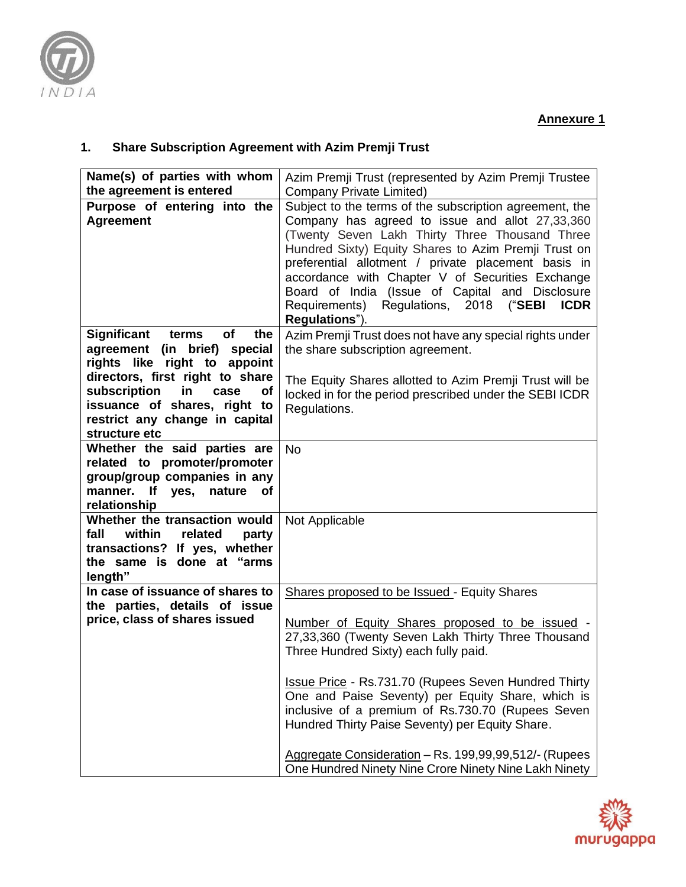

## **1. Share Subscription Agreement with Azim Premji Trust**

| Name(s) of parties with whom                                            | Azim Premji Trust (represented by Azim Premji Trustee                                                                                                                                                                                                                                                                                                                                                                                                         |
|-------------------------------------------------------------------------|---------------------------------------------------------------------------------------------------------------------------------------------------------------------------------------------------------------------------------------------------------------------------------------------------------------------------------------------------------------------------------------------------------------------------------------------------------------|
| the agreement is entered                                                | <b>Company Private Limited)</b>                                                                                                                                                                                                                                                                                                                                                                                                                               |
| Purpose of entering into the<br><b>Agreement</b>                        | Subject to the terms of the subscription agreement, the<br>Company has agreed to issue and allot 27,33,360<br>(Twenty Seven Lakh Thirty Three Thousand Three<br>Hundred Sixty) Equity Shares to Azim Premji Trust on<br>preferential allotment / private placement basis in<br>accordance with Chapter V of Securities Exchange<br>Board of India (Issue of Capital and Disclosure<br>Requirements) Regulations, 2018 ("SEBI<br><b>ICDR</b><br>Regulations"). |
| Significant<br>of<br>terms<br>the                                       | Azim Premji Trust does not have any special rights under                                                                                                                                                                                                                                                                                                                                                                                                      |
| agreement (in brief) special                                            | the share subscription agreement.                                                                                                                                                                                                                                                                                                                                                                                                                             |
| rights like right to appoint                                            |                                                                                                                                                                                                                                                                                                                                                                                                                                                               |
| directors, first right to share                                         | The Equity Shares allotted to Azim Premji Trust will be                                                                                                                                                                                                                                                                                                                                                                                                       |
| subscription<br>in<br>case<br><b>of</b><br>issuance of shares, right to | locked in for the period prescribed under the SEBI ICDR                                                                                                                                                                                                                                                                                                                                                                                                       |
| restrict any change in capital                                          | Regulations.                                                                                                                                                                                                                                                                                                                                                                                                                                                  |
| structure etc                                                           |                                                                                                                                                                                                                                                                                                                                                                                                                                                               |
| Whether the said parties are                                            | <b>No</b>                                                                                                                                                                                                                                                                                                                                                                                                                                                     |
| related to promoter/promoter                                            |                                                                                                                                                                                                                                                                                                                                                                                                                                                               |
| group/group companies in any                                            |                                                                                                                                                                                                                                                                                                                                                                                                                                                               |
| manner. If yes,<br>nature of                                            |                                                                                                                                                                                                                                                                                                                                                                                                                                                               |
| relationship<br>Whether the transaction would                           |                                                                                                                                                                                                                                                                                                                                                                                                                                                               |
| fall<br>within<br>related<br>party                                      | Not Applicable                                                                                                                                                                                                                                                                                                                                                                                                                                                |
| transactions? If yes, whether                                           |                                                                                                                                                                                                                                                                                                                                                                                                                                                               |
| the same is done at "arms                                               |                                                                                                                                                                                                                                                                                                                                                                                                                                                               |
| length"                                                                 |                                                                                                                                                                                                                                                                                                                                                                                                                                                               |
| In case of issuance of shares to                                        | Shares proposed to be Issued - Equity Shares                                                                                                                                                                                                                                                                                                                                                                                                                  |
| the parties, details of issue                                           |                                                                                                                                                                                                                                                                                                                                                                                                                                                               |
| price, class of shares issued                                           | Number of Equity Shares proposed to be issued -                                                                                                                                                                                                                                                                                                                                                                                                               |
|                                                                         | 27,33,360 (Twenty Seven Lakh Thirty Three Thousand                                                                                                                                                                                                                                                                                                                                                                                                            |
|                                                                         | Three Hundred Sixty) each fully paid.                                                                                                                                                                                                                                                                                                                                                                                                                         |
|                                                                         | <b>Issue Price - Rs.731.70 (Rupees Seven Hundred Thirty</b>                                                                                                                                                                                                                                                                                                                                                                                                   |
|                                                                         | One and Paise Seventy) per Equity Share, which is                                                                                                                                                                                                                                                                                                                                                                                                             |
|                                                                         | inclusive of a premium of Rs.730.70 (Rupees Seven                                                                                                                                                                                                                                                                                                                                                                                                             |
|                                                                         | Hundred Thirty Paise Seventy) per Equity Share.                                                                                                                                                                                                                                                                                                                                                                                                               |
|                                                                         | Aggregate Consideration - Rs. 199,99,99,512/- (Rupees                                                                                                                                                                                                                                                                                                                                                                                                         |
|                                                                         | One Hundred Ninety Nine Crore Ninety Nine Lakh Ninety                                                                                                                                                                                                                                                                                                                                                                                                         |

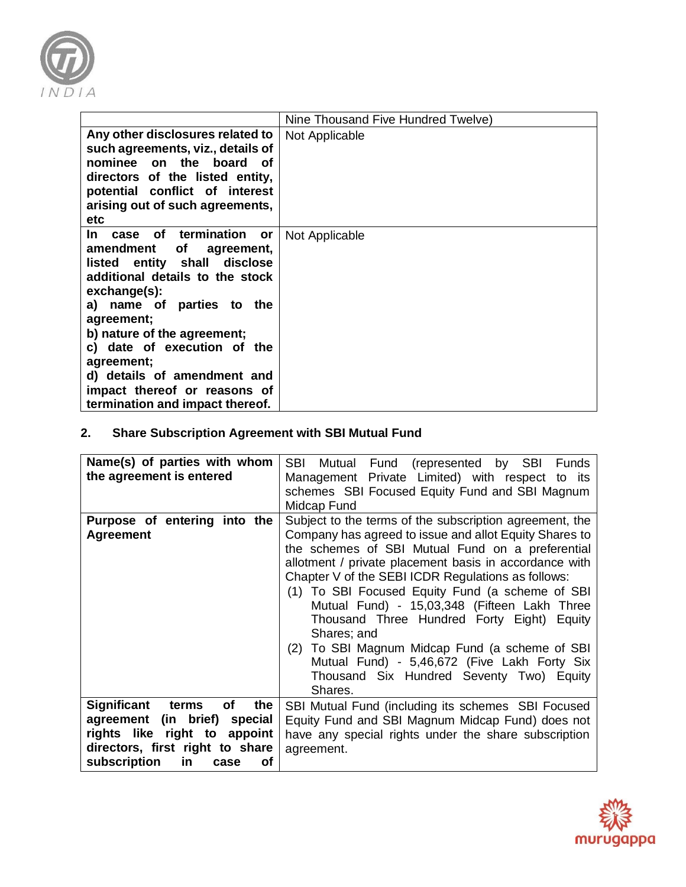

|                                                                                                                                                                                                                                                                                                                                                                               | Nine Thousand Five Hundred Twelve) |
|-------------------------------------------------------------------------------------------------------------------------------------------------------------------------------------------------------------------------------------------------------------------------------------------------------------------------------------------------------------------------------|------------------------------------|
| Any other disclosures related to<br>such agreements, viz., details of<br>nominee on the board of<br>directors of the listed entity,<br>potential conflict of interest<br>arising out of such agreements,<br>etc                                                                                                                                                               | Not Applicable                     |
| case of termination<br>In.<br>or<br>amendment<br>of<br>agreement,<br>listed entity shall disclose<br>additional details to the stock<br>exchange(s):<br>a) name of parties to the<br>agreement;<br>b) nature of the agreement;<br>c) date of execution of the<br>agreement;<br>d) details of amendment and<br>impact thereof or reasons of<br>termination and impact thereof. | Not Applicable                     |

## **2. Share Subscription Agreement with SBI Mutual Fund**

| Name(s) of parties with whom<br>the agreement is entered                                                                                                                              | <b>SBI</b><br>Mutual Fund (represented by SBI<br><b>Funds</b><br>Management Private Limited) with respect to its<br>schemes SBI Focused Equity Fund and SBI Magnum<br>Midcap Fund                                                                                                                                                                                                                                                                                                                                                                                                                              |
|---------------------------------------------------------------------------------------------------------------------------------------------------------------------------------------|----------------------------------------------------------------------------------------------------------------------------------------------------------------------------------------------------------------------------------------------------------------------------------------------------------------------------------------------------------------------------------------------------------------------------------------------------------------------------------------------------------------------------------------------------------------------------------------------------------------|
| Purpose of entering into the<br><b>Agreement</b>                                                                                                                                      | Subject to the terms of the subscription agreement, the<br>Company has agreed to issue and allot Equity Shares to<br>the schemes of SBI Mutual Fund on a preferential<br>allotment / private placement basis in accordance with<br>Chapter V of the SEBI ICDR Regulations as follows:<br>(1) To SBI Focused Equity Fund (a scheme of SBI<br>Mutual Fund) - 15,03,348 (Fifteen Lakh Three<br>Thousand Three Hundred Forty Eight) Equity<br>Shares; and<br>(2) To SBI Magnum Midcap Fund (a scheme of SBI<br>Mutual Fund) - 5,46,672 (Five Lakh Forty Six<br>Thousand Six Hundred Seventy Two) Equity<br>Shares. |
| <b>Significant</b><br>of<br>the<br>terms<br>(in brief)<br>agreement<br>special<br>rights like right to appoint<br>directors, first right to share<br>subscription<br>in<br>Οf<br>case | SBI Mutual Fund (including its schemes SBI Focused<br>Equity Fund and SBI Magnum Midcap Fund) does not<br>have any special rights under the share subscription<br>agreement.                                                                                                                                                                                                                                                                                                                                                                                                                                   |

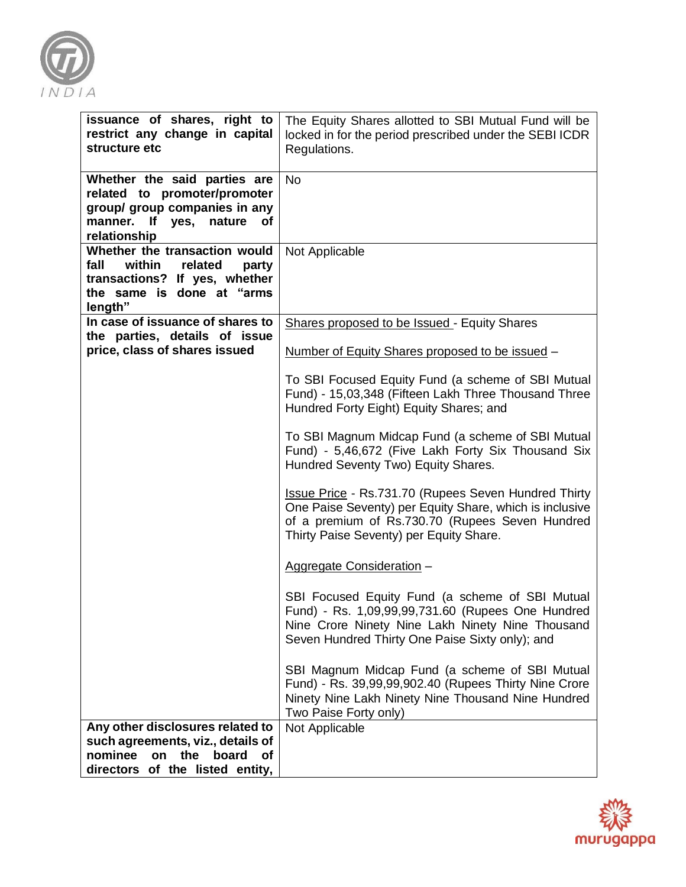

| issuance of shares, right to<br>restrict any change in capital<br>structure etc                                                              | The Equity Shares allotted to SBI Mutual Fund will be<br>locked in for the period prescribed under the SEBI ICDR<br>Regulations.                                                                                     |
|----------------------------------------------------------------------------------------------------------------------------------------------|----------------------------------------------------------------------------------------------------------------------------------------------------------------------------------------------------------------------|
| Whether the said parties are<br>related to promoter/promoter<br>group/ group companies in any<br>manner. If yes, nature of<br>relationship   | <b>No</b>                                                                                                                                                                                                            |
| Whether the transaction would<br>fall<br>within<br>related<br>party<br>transactions? If yes, whether<br>the same is done at "arms<br>length" | Not Applicable                                                                                                                                                                                                       |
| In case of issuance of shares to<br>the parties, details of issue                                                                            | <b>Shares proposed to be Issued - Equity Shares</b>                                                                                                                                                                  |
| price, class of shares issued                                                                                                                | Number of Equity Shares proposed to be issued -                                                                                                                                                                      |
|                                                                                                                                              | To SBI Focused Equity Fund (a scheme of SBI Mutual<br>Fund) - 15,03,348 (Fifteen Lakh Three Thousand Three<br>Hundred Forty Eight) Equity Shares; and                                                                |
|                                                                                                                                              | To SBI Magnum Midcap Fund (a scheme of SBI Mutual<br>Fund) - 5,46,672 (Five Lakh Forty Six Thousand Six<br>Hundred Seventy Two) Equity Shares.                                                                       |
|                                                                                                                                              | <b>Issue Price - Rs.731.70 (Rupees Seven Hundred Thirty</b><br>One Paise Seventy) per Equity Share, which is inclusive<br>of a premium of Rs.730.70 (Rupees Seven Hundred<br>Thirty Paise Seventy) per Equity Share. |
|                                                                                                                                              | Aggregate Consideration -                                                                                                                                                                                            |
|                                                                                                                                              | SBI Focused Equity Fund (a scheme of SBI Mutual<br>Fund) - Rs. 1,09,99,99,731.60 (Rupees One Hundred<br>Nine Crore Ninety Nine Lakh Ninety Nine Thousand<br>Seven Hundred Thirty One Paise Sixty only); and          |
|                                                                                                                                              | SBI Magnum Midcap Fund (a scheme of SBI Mutual<br>Fund) - Rs. 39,99,99,902.40 (Rupees Thirty Nine Crore<br>Ninety Nine Lakh Ninety Nine Thousand Nine Hundred<br>Two Paise Forty only)                               |
| Any other disclosures related to<br>such agreements, viz., details of                                                                        | Not Applicable                                                                                                                                                                                                       |
| nominee<br>on the<br>board<br>of<br>directors of the listed entity,                                                                          |                                                                                                                                                                                                                      |